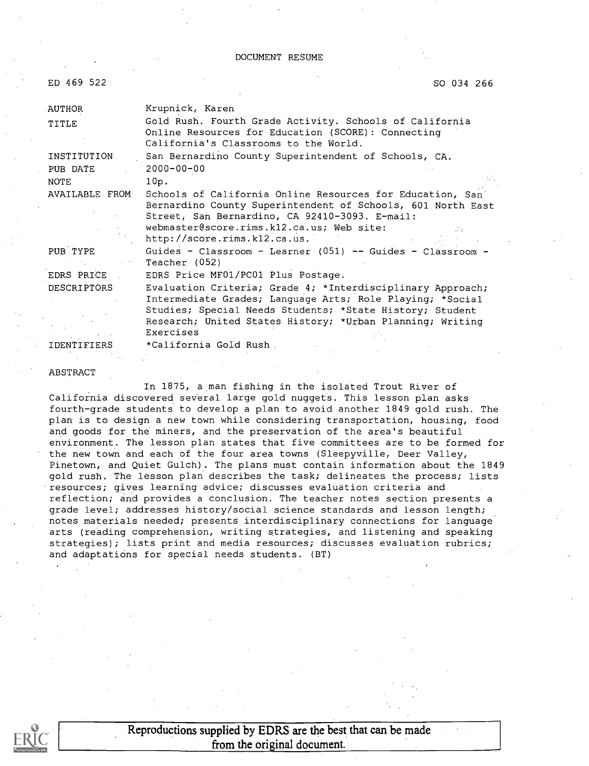| ED 469 522 |  |
|------------|--|
|            |  |

SO 034 266

| Krupnick, Karen                                                                                                                                                                                                                                               |
|---------------------------------------------------------------------------------------------------------------------------------------------------------------------------------------------------------------------------------------------------------------|
| Gold Rush. Fourth Grade Activity. Schools of California<br>Online Resources for Education (SCORE): Connecting<br>California's Classrooms to the World.                                                                                                        |
| San Bernardino County Superintendent of Schools, CA.                                                                                                                                                                                                          |
| $2000 - 00 - 00$                                                                                                                                                                                                                                              |
| 10p.                                                                                                                                                                                                                                                          |
| Schools of California Online Resources for Education, San<br>Bernardino County Superintendent of Schools, 601 North East<br>Street, San Bernardino, CA 92410-3093. E-mail:<br>webmaster@score.rims.k12.ca.us; Web site:<br>http://score.rims.kl2.ca.us.       |
| Guides - Classroom - Learner (051) -- Guides - Classroom -<br>Teacher (052)                                                                                                                                                                                   |
| EDRS Price MF01/PC01 Plus Postage.                                                                                                                                                                                                                            |
| Evaluation Criteria; Grade 4; *Interdisciplinary Approach;<br>Intermediate Grades; Language Arts; Role Playing; *Social<br>Studies; Special Needs Students; *State History; Student<br>Research; United States History; *Urban Planning; Writing<br>Exercises |
| *California Gold Rush .                                                                                                                                                                                                                                       |
|                                                                                                                                                                                                                                                               |

#### ABSTRACT

In 1875, a man fishing in the isolated Trout River of California discovered several large gold nuggets. This lesson plan asks fourth-grade students to develop a plan to avoid another 1849 gold rush. The plan is to design a new town while considering transportation, housing, food and goods for the miners, and the preservation of the area's beautiful environment. The lesson plan states that five committees are to be formed for the new town and each of the four area towns (Sleepyville, Deer Valley, Pinetown, and Quiet Gulch). The plans must contain information about the 1849 gold rush. The lesson plan describes the task; delineates the process; lists resources; gives learning advice; discusses evaluation criteria and reflection; and provides a conclusion. The teacher notes section presents a grade level; addresses history/social science standards and lesson length; notes materials needed; presents interdisciplinary connections for language arts (reading comprehension, writing strategies, and listening and speaking strategies); lists print and media resources; discusses evaluation rubrics; and adaptations for special needs students. (BT)



Reproductions supplied by EDRS are the best that can be made from the original document.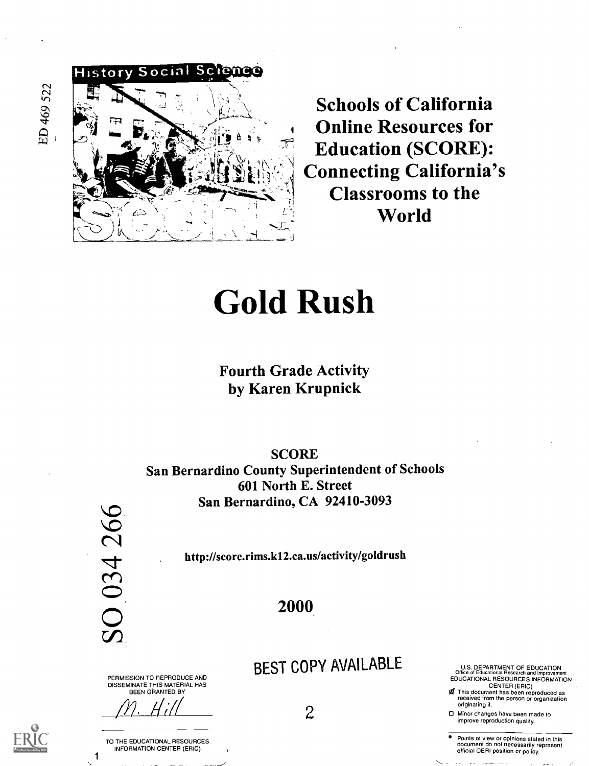ED 469 522



Schools of California Online Resources for Education (SCORE): Connecting California's Classrooms to the World

# Gold Rush

### Fourth Grade Activity by Karen Krupnick

**SCORE** San Bernardino County Superintendent of Schools 601 North E. Street San Bernardino, CA 92410-3093



1

http://score.rims.k12.ca.us/activity/goldrush

#### 2000

PERMISSION TO REPRODUCE AND DISSEMINATE THIS MATERIAL HAS BEEN GRANTED BY

///<u>· Hull</u>

TO THE EDUCATIONAL RESOURCES INFORMATION CENTER (ERIC)

BEST COPY AVAILABLE

 $\mathcal{Z}$ 

U.S. DEPARTMENT OF EDUCATION Office of Educational Research and Improvement EDUCATIONAL RESOURCES INFORMATION

CENTER (ERIC)<br>**go** This document has been reproduced as<br>received from the person or organization originating it.

Minor changes have been made to improve reproduction quality.

° Points of view or opinions stated in this document do not necessarily represent official OERI position or policy.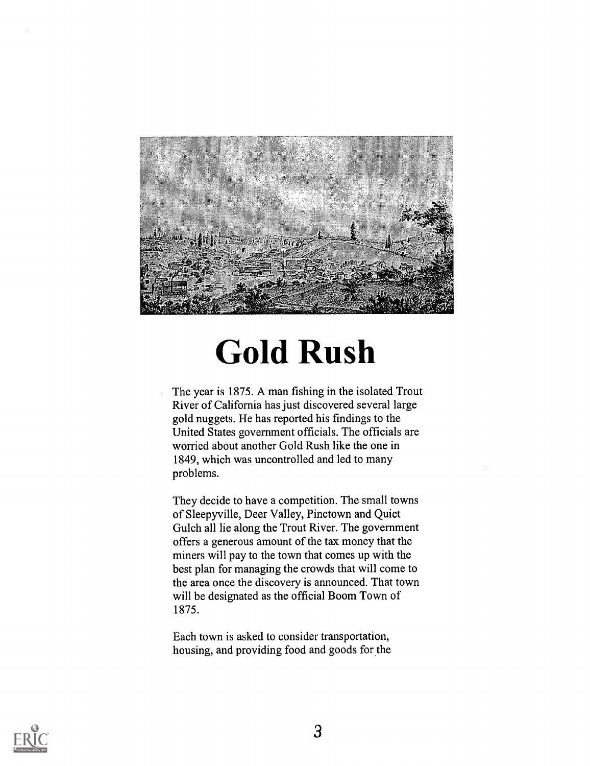

# Gold Rush

The year is 1875. A man fishing in the isolated Trout River of California has just discovered several large gold nuggets. He has reported his findings to the United States government officials. The officials are worried about another Gold Rush like the one in 1849, which was uncontrolled and led to many problems.

They decide to have a competition. The small towns of Sleepyville, Deer Valley, Pinetown and Quiet Gulch all lie along the Trout River. The government offers a generous amount of the tax money that the miners will pay to the town that comes up with the best plan for managing the crowds that will come to the area once the discovery is announced. That town will be designated as the official Boom Town of 1875.

Each town is asked to consider transportation, housing, and providing food and goods for the

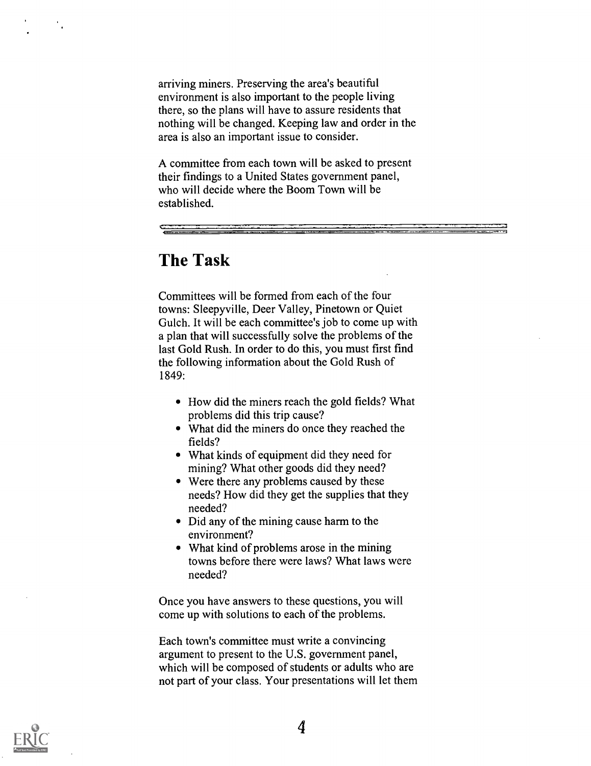arriving miners. Preserving the area's beautiful environment is also important to the people living there, so the plans will have to assure residents that nothing will be changed. Keeping law and order in the area is also an important issue to consider.

A committee from each town will be asked to present their findings to a United States government panel, who will decide where the Boom Town will be established.

### The Task

Committees will be formed from each of the four towns: Sleepyville, Deer Valley, Pinetown or Quiet Gulch. It will be each committee's job to come up with a plan that will successfully solve the problems of the last Gold Rush. In order to do this, you must first find the following information about the Gold Rush of 1849:

- How did the miners reach the gold fields? What problems did this trip cause?
- What did the miners do once they reached the fields?
- What kinds of equipment did they need for mining? What other goods did they need?
- Were there any problems caused by these needs? How did they get the supplies that they needed?
- Did any of the mining cause harm to the environment?
- What kind of problems arose in the mining towns before there were laws? What laws were needed?

Once you have answers to these questions, you will come up with solutions to each of the problems.

Each town's committee must write a convincing argument to present to the U.S. government panel, which will be composed of students or adults who are not part of your class. Your presentations will let them

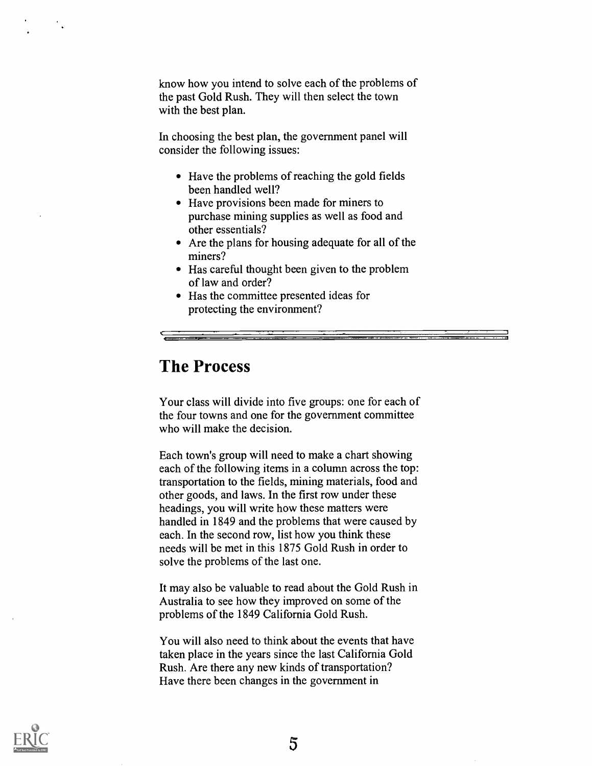know how you intend to solve each of the problems of the past Gold Rush. They will then select the town with the best plan.

In choosing the best plan, the government panel will consider the following issues:

- Have the problems of reaching the gold fields been handled well?
- Have provisions been made for miners to purchase mining supplies as well as food and other essentials?
- Are the plans for housing adequate for all of the miners?
- Has careful thought been given to the problem of law and order?
- Has the committee presented ideas for protecting the environment?

### The Process

Your class will divide into five groups: one for each of the four towns and one for the government committee who will make the decision.

Each town's group will need to make a chart showing each of the following items in a column across the top: transportation to the fields, mining materials, food and other goods, and laws. In the first row under these headings, you will write how these matters were handled in 1849 and the problems that were caused by each. In the second row, list how you think these needs will be met in this 1875 Gold Rush in order to solve the problems of the last one.

It may also be valuable to read about the Gold Rush in Australia to see how they improved on some of the problems of the 1849 California Gold Rush.

You will also need to think about the events that have taken place in the years since the last California Gold Rush. Are there any new kinds of transportation? Have there been changes in the government in

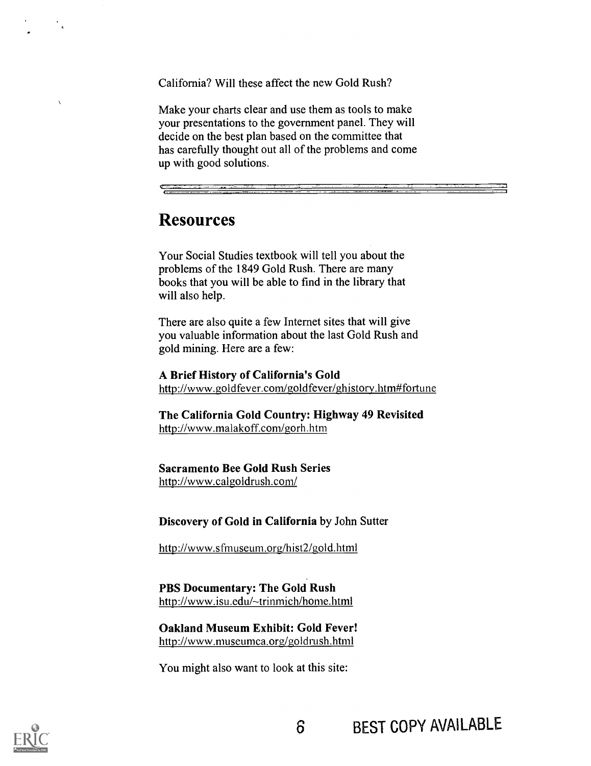California? Will these affect the new Gold Rush?

Make your charts clear and use them as tools to make your presentations to the government panel. They will decide on the best plan based on the committee that has carefully thought out all of the problems and come up with good solutions.

### **Resources**

Your Social Studies textbook will tell you about the problems of the 1849 Gold Rush. There are many books that you will be able to find in the library that will also help.

There are also quite a few Internet sites that will give you valuable information about the last Gold Rush and gold mining. Here are a few:

A Brief History of California's Gold http://www.goldfever.com/goldfever/ghistory.htm#fortune

The California Gold Country: Highway 49 Revisited http://www.malakoff.com/gorh.htm

Sacramento Bee Gold Rush Series http://www.calgoldrush.com/

Discovery of Gold in California by John Sutter

http://www.sfmuseum.org/hist2/gold.html

PBS Documentary: The Gold Rush http://www.isu.edu/~trinmich/home.html

Oakland Museum Exhibit: Gold Fever! http://www.museumca.org/goldrush.html

You might also want to look at this site:



 $\overline{\mathbf{A}}$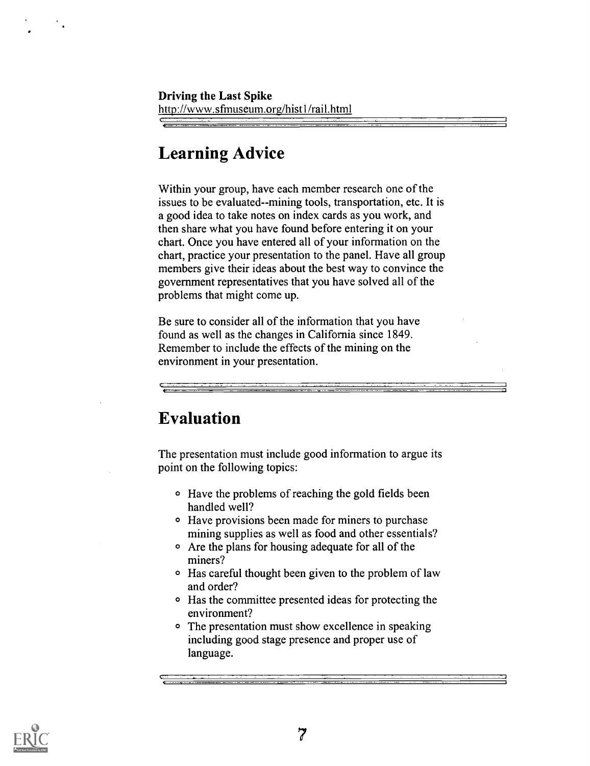### Learning Advice

Within your group, have each member research one of the issues to be evaluated--mining tools, transportation, etc. It is a good idea to take notes on index cards as you work, and then share what you have found before entering it on your chart. Once you have entered all of your information on the chart, practice your presentation to the panel. Have all group members give their ideas about the best way to convince the government representatives that you have solved all of the problems that might come up.

Be sure to consider all of the information that you have found as well as the changes in California since 1849. Remember to include the effects of the mining on the environment in your presentation.

### Evaluation

The presentation must include good information to argue its point on the following topics:

- O Have the problems of reaching the gold fields been handled well?
- O Have provisions been made for miners to purchase mining supplies as well as food and other essentials?
- o Are the plans for housing adequate for all of the miners?
- <sup>o</sup> Has careful thought been given to the problem of law and order?
- o Has the committee presented ideas for protecting the environment?
- The presentation must show excellence in speaking including good stage presence and proper use of language.

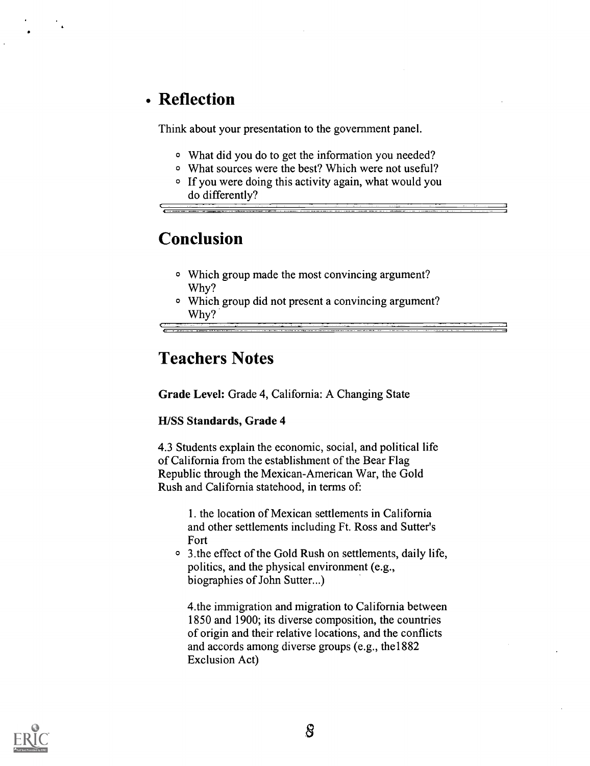### Reflection

Think about your presentation to the government panel.

- What did you do to get the information you needed?
- O What sources were the best? Which were not useful?
- O If you were doing this activity again, what would you do differently?

### Conclusion

c

- Which group made the most convincing argument? Why?
- Which group did not present a convincing argument? Why?

### Teachers Notes

Grade Level: Grade 4, California: A Changing State

#### H/SS Standards, Grade 4

4.3 Students explain the economic, social, and political life of California from the establishment of the Bear Flag Republic through the Mexican-American War, the Gold Rush and California statehood, in terms of:

> 1. the location of Mexican settlements in California and other settlements including Ft. Ross and Sutter's Fort

<sup>o</sup> 3. the effect of the Gold Rush on settlements, daily life, politics, and the physical environment (e.g., biographies of John Sutter...)

4.the immigration and migration to California between 1850 and 1900; its diverse composition, the countries of origin and their relative locations, and the conflicts and accords among diverse groups (e.g., the1882 Exclusion Act)

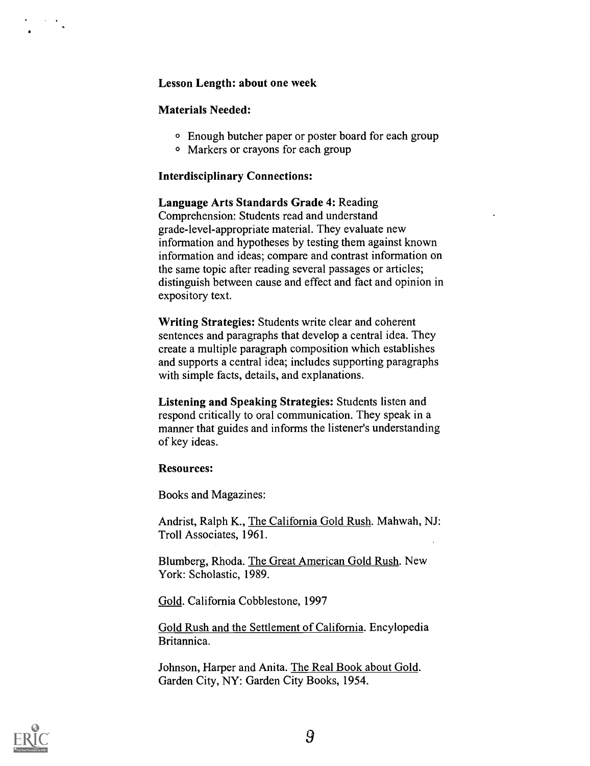#### Lesson Length: about one week

#### Materials Needed:

- 0 Enough butcher paper or poster board for each group
- 0 Markers or crayons for each group

#### Interdisciplinary Connections:

Language Arts Standards Grade 4: Reading Comprehension: Students read and understand grade-level-appropriate material. They evaluate new information and hypotheses by testing them against known information and ideas; compare and contrast information on the same topic after reading several passages or articles; distinguish between cause and effect and fact and opinion in expository text.

Writing Strategies: Students write clear and coherent sentences and paragraphs that develop a central idea. They create a multiple paragraph composition which establishes and supports a central idea; includes supporting paragraphs with simple facts, details, and explanations.

Listening and Speaking Strategies: Students listen and respond critically to oral communication. They speak in a manner that guides and informs the listener's understanding of key ideas.

#### Resources:

Books and Magazines:

Andrist, Ralph K., The California Gold Rush. Mahwah, NJ: Troll Associates, 1961.

Blumberg, Rhoda. The Great American Gold Rush. New York: Scholastic, 1989.

Gold. California Cobblestone, 1997

Gold Rush and the Settlement of California. Encylopedia Britannica.

Johnson, Harper and Anita. The Real Book about Gold. Garden City, NY: Garden City Books, 1954.

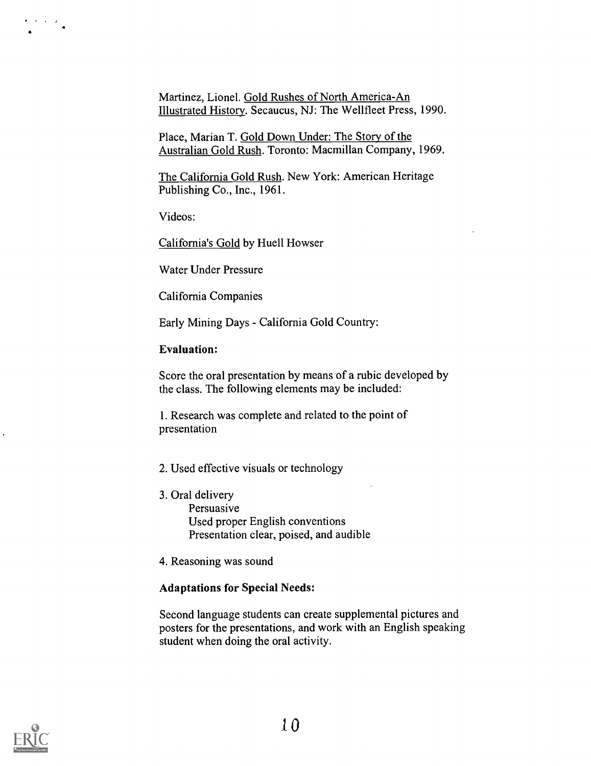Martinez, Lionel. Gold Rushes of North America-An Illustrated History. Secaucus, NJ: The Wellfleet Press, 1990.

Place, Marian T. Gold Down Under: The Story of the Australian Gold Rush. Toronto: Macmillan Company, 1969.

The California Gold Rush. New York: American Heritage Publishing Co., Inc., 1961.

Videos:

California's Gold by Huell Howser

Water Under Pressure

California Companies

Early Mining Days - California Gold Country:

#### Evaluation:

Score the oral presentation by means of a rubic developed by the class. The following elements may be included:

1. Research was complete and related to the point of presentation

#### 2. Used effective visuals or technology

- 3. Oral delivery Persuasive Used proper English conventions Presentation clear, poised, and audible
- 4. Reasoning was sound

#### Adaptations for Special Needs:

Second language students can create supplemental pictures and posters for the presentations, and work with an English speaking student when doing the oral activity.